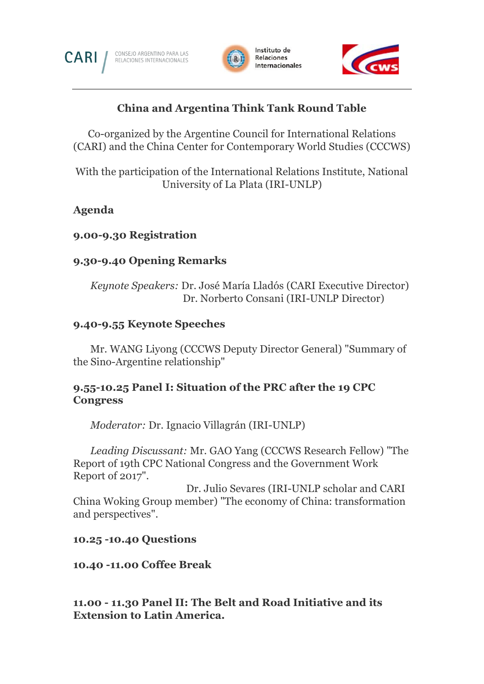

CONSEJO ARGENTINO PARA LAS<br>RELACIONES INTERNACIONALES





# **China and Argentina Think Tank Round Table**

Co-organized by the Argentine Council for International Relations (CARI) and the China Center for Contemporary World Studies (CCCWS)

With the participation of the International Relations Institute, National University of La Plata (IRI-UNLP)

## **Agenda**

### **9.00-9.30 Registration**

### **9.30-9.40 Opening Remarks**

*Keynote Speakers:* Dr. José María Lladós (CARI Executive Director) Dr. Norberto Consani (IRI-UNLP Director)

### **9.40-9.55 Keynote Speeches**

Mr. WANG Liyong (CCCWS Deputy Director General) "Summary of the Sino-Argentine relationship"

## **9.55-10.25 Panel I: Situation of the PRC after the 19 CPC Congress**

*Moderator:* Dr. Ignacio Villagrán (IRI-UNLP)

*Leading Discussant:* Mr. GAO Yang (CCCWS Research Fellow) "The Report of 19th CPC National Congress and the Government Work Report of 2017".

 Dr. Julio Sevares (IRI-UNLP scholar and CARI China Woking Group member) "The economy of China: transformation and perspectives".

#### **10.25 -10.40 Questions**

#### **10.40 -11.00 Coffee Break**

**11.00 - 11.30 Panel II: The Belt and Road Initiative and its Extension to Latin America.**